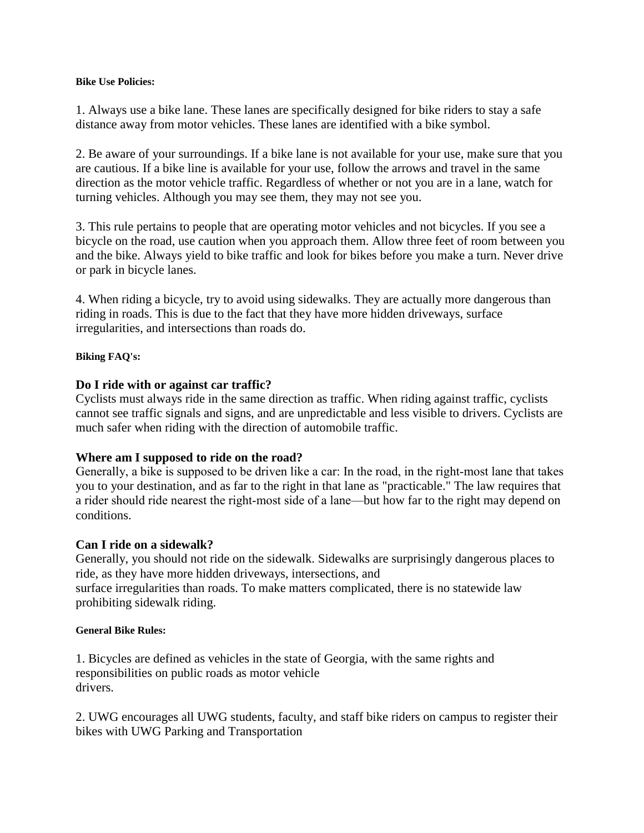#### **Bike Use Policies:**

1. Always use a bike lane. These lanes are specifically designed for bike riders to stay a safe distance away from motor vehicles. These lanes are identified with a bike symbol.

2. Be aware of your surroundings. If a bike lane is not available for your use, make sure that you are cautious. If a bike line is available for your use, follow the arrows and travel in the same direction as the motor vehicle traffic. Regardless of whether or not you are in a lane, watch for turning vehicles. Although you may see them, they may not see you.

3. This rule pertains to people that are operating motor vehicles and not bicycles. If you see a bicycle on the road, use caution when you approach them. Allow three feet of room between you and the bike. Always yield to bike traffic and look for bikes before you make a turn. Never drive or park in bicycle lanes.

4. When riding a bicycle, try to avoid using sidewalks. They are actually more dangerous than riding in roads. This is due to the fact that they have more hidden driveways, surface irregularities, and intersections than roads do.

### **Biking FAQ's:**

# **Do I ride with or against car traffic?**

Cyclists must always ride in the same direction as traffic. When riding against traffic, cyclists cannot see traffic signals and signs, and are unpredictable and less visible to drivers. Cyclists are much safer when riding with the direction of automobile traffic.

# **Where am I supposed to ride on the road?**

Generally, a bike is supposed to be driven like a car: In the road, in the right‐most lane that takes you to your destination, and as far to the right in that lane as "practicable." The law requires that a rider should ride nearest the right‐most side of a lane—but how far to the right may depend on conditions.

# **Can I ride on a sidewalk?**

Generally, you should not ride on the sidewalk. Sidewalks are surprisingly dangerous places to ride, as they have more hidden driveways, intersections, and surface irregularities than roads. To make matters complicated, there is no statewide law prohibiting sidewalk riding.

#### **General Bike Rules:**

1. Bicycles are defined as vehicles in the state of Georgia, with the same rights and responsibilities on public roads as motor vehicle drivers.

2. UWG encourages all UWG students, faculty, and staff bike riders on campus to register their bikes with UWG Parking and Transportation